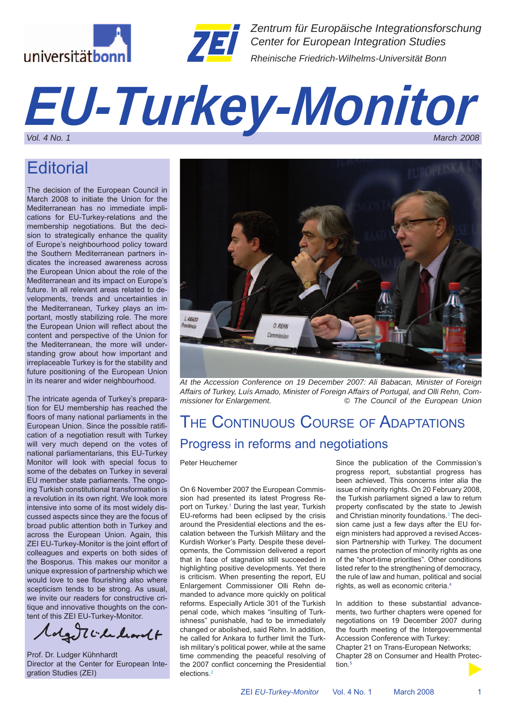



*Zentrum für Europäische Integrationsforschung Center for European Integration Studies Rheinische Friedrich-Wilhelms-Universität Bonn*

# *EU-Turkey-Monitor Vol. 4 No. 1 March 2008*

## **Editorial**

The decision of the European Council in March 2008 to initiate the Union for the Mediterranean has no immediate implications for EU-Turkey-relations and the membership negotiations. But the decision to strategically enhance the quality of Europe's neighbourhood policy toward the Southern Mediterranean partners indicates the increased awareness across the European Union about the role of the Mediterranean and its impact on Europe's future. In all relevant areas related to developments, trends and uncertainties in the Mediterranean, Turkey plays an important, mostly stabilizing role. The more the European Union will reflect about the content and perspective of the Union for the Mediterranean, the more will understanding grow about how important and irreplaceable Turkey is for the stability and future positioning of the European Union in its nearer and wider neighbourhood.

The intricate agenda of Turkey's preparation for EU membership has reached the floors of many national parliaments in the European Union. Since the possible ratification of a negotiation result with Turkey will very much depend on the votes of national parliamentarians, this EU-Turkey Monitor will look with special focus to some of the debates on Turkey in several EU member state parliaments. The ongoing Turkish constitutional transformation is a revolution in its own right. We look more intensive into some of its most widely discussed aspects since they are the focus of broad public attention both in Turkey and across the European Union. Again, this ZEI EU-Turkey-Monitor is the joint effort of colleagues and experts on both sides of the Bosporus. This makes our monitor a unique expression of partnership which we would love to see flourishing also where scepticism tends to be strong. As usual, we invite our readers for constructive critique and innovative thoughts on the content of this ZEI EU-Turkey-Monitor.

olge ticked learnet

Prof. Dr. Ludger Kühnhardt Director at the Center for European Integration Studies (ZEI)



*At the Accession Conference on 19 December 2007: Ali Babacan, Minister of Foreign Affairs of Turkey, Luís Amado, Minister of Foreign Affairs of Portugal, and Olli Rehn, Commissioner for Enlargement. © The Council of the European Union*

## THE CONTINUOUS COURSE OF ADAPTATIONS Progress in reforms and negotiations

#### Peter Heuchemer

On 6 November 2007 the European Commission had presented its latest Progress Report on Turkey.<sup>1</sup> During the last year, Turkish EU-reforms had been eclipsed by the crisis around the Presidential elections and the escalation between the Turkish Military and the Kurdish Worker's Party. Despite these developments, the Commission delivered a report that in face of stagnation still succeeded in highlighting positive developments. Yet there is criticism. When presenting the report, EU Enlargement Commissioner Olli Rehn demanded to advance more quickly on political reforms. Especially Article 301 of the Turkish penal code, which makes "insulting of Turkishness" punishable, had to be immediately changed or abolished, said Rehn. In addition, he called for Ankara to further limit the Turkish military's political power, while at the same time commending the peaceful resolving of the 2007 conflict concerning the Presidential elections.2

Since the publication of the Commission's progress report, substantial progress has been achieved. This concerns inter alia the issue of minority rights. On 20 February 2008, the Turkish parliament signed a law to return property confiscated by the state to Jewish and Christian minority foundations.<sup>3</sup> The decision came just a few days after the EU foreign ministers had approved a revised Accession Partnership with Turkey. The document names the protection of minority rights as one of the "short-time priorities". Other conditions listed refer to the strengthening of democracy, the rule of law and human, political and social rights, as well as economic criteria.4

In addition to these substantial advancements, two further chapters were opened for negotiations on 19 December 2007 during the fourth meeting of the Intergovernmental Accession Conference with Turkey: Chapter 21 on Trans-European Networks; Chapter 28 on Consumer and Health Protection.<sup>5</sup>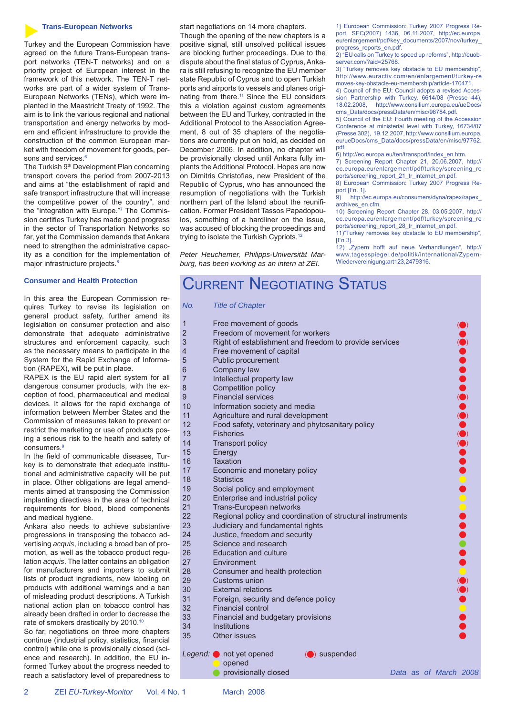#### **Trans-European Networks**

Turkey and the European Commission have agreed on the future Trans-European transport networks (TEN-T networks) and on a priority project of European interest in the framework of this network. The TEN-T networks are part of a wider system of Trans-European Networks (TENs), which were implanted in the Maastricht Treaty of 1992. The aim is to link the various regional and national transportation and energy networks by modern and efficient infrastructure to provide the construction of the common European market with freedom of movement for goods, persons and services.<sup>6</sup>

The Turkish 9<sup>th</sup> Development Plan concerning transport covers the period from 2007-2013 and aims at "the establishment of rapid and safe transport infrastructure that will increase the competitive power of the country", and the "integration with Europe."7 The Commission certifies Turkey has made good progress in the sector of Transportation Networks so far, yet the Commission demands that Ankara need to strengthen the administrative capacity as a condition for the implementation of major infrastructure projects.<sup>8</sup>

#### **Consumer and Health Protection**

In this area the European Commission requires Turkey to revise its legislation on general product safety, further amend its legislation on consumer protection and also demonstrate that adequate administrative structures and enforcement capacity, such as the necessary means to participate in the System for the Rapid Exchange of Information (RAPEX), will be put in place.

RAPEX is the EU rapid alert system for all dangerous consumer products, with the exception of food, pharmaceutical and medical devices. It allows for the rapid exchange of information between Member States and the Commission of measures taken to prevent or restrict the marketing or use of products posing a serious risk to the health and safety of consumers.<sup>9</sup>

In the field of communicable diseases, Turkey is to demonstrate that adequate institutional and administrative capacity will be put in place. Other obligations are legal amendments aimed at transposing the Commission implanting directives in the area of technical requirements for blood, blood components and medical hygiene.

Ankara also needs to achieve substantive progressions in transposing the tobacco advertising *acquis*, including a broad ban of promotion, as well as the tobacco product regulation *acquis*. The latter contains an obligation for manufacturers and importers to submi lists of product ingredients, new labeling on products with additional warnings and a ban of misleading product descriptions. A Turkish national action plan on tobacco control has already been drafted in order to decrease the rate of smokers drastically by 2010.10

So far, negotiations on three more chapters continue (industrial policy, statistics, financia control) while one is provisionally closed (science and research). In addition, the EU informed Turkey about the progress needed to reach a satisfactory level of preparedness to start negotiations on 14 more chapters.

Though the opening of the new chapters is a positive signal, still unsolved political issues are blocking further proceedings. Due to the dispute about the final status of Cyprus, Ankara is still refusing to recognize the EU member state Republic of Cyprus and to open Turkish ports and airports to vessels and planes originating from there.11 Since the EU considers this a violation against custom agreements between the EU and Turkey, contracted in the Additional Protocol to the Association Agreement, 8 out of 35 chapters of the negotiations are currently put on hold, as decided on December 2006. In addition, no chapter will be provisionally closed until Ankara fully implants the Additional Protocol. Hopes are now on Dimitris Christofias, new President of the Republic of Cyprus, who has announced the resumption of negotiations with the Turkish northern part of the Island about the reunification. Former President Tassos Papadopoulos, something of a hardliner on the issue, was accused of blocking the proceedings and trying to isolate the Turkish Cypriots.12

*Peter Heuchemer, Philipps-Universität Marburg, has been working as an intern at ZEI.*

1) European Commission: Turkey 2007 Progress Report, SEC(2007) 1436, 06.11.2007, http://ec.europa. eu/enlargement/pdf/key\_documents/2007/nov/turkey\_ progress\_reports\_en.pdf.

2) "EU calls on Turkey to speed up reforms", http://euobserver.com/?aid=25768.

3) "Turkey removes key obstacle to EU membership", http://www.euractiv.com/en/enlargement/turkey-re moves-key-obstacle-eu-membership/article-170471.

4) Council of the EU: Council adopts a revised Accession Partnership with Turkey, 6614/08 (Presse 44), 18.02.2008, http://www.consilium.europa.eu/ueDocs/ cms\_Data/docs/pressData/en/misc/98784.pdf.

5) Council of the EU: Fourth meeting of the Accession Conference at ministerial level with Turkey, 16734/07 (Presse 302), 19.12.2007, http://www.consilium.europa. eu/ueDocs/cms\_Data/docs/pressData/en/misc/97762. pdf.

6) http://ec.europa.eu/ten/transport/index\_en.htm.

7) Screening Report Chapter 21, 20.06.2007, http:// ec.europa.eu/enlargement/pdf/turkey/screening\_re ports/screening\_report\_21\_tr\_internet\_en.pdf. 8) European Commission: Turkey 2007 Progress Re-

port [Fn. 1].

9) http://ec.europa.eu/consumers/dyna/rapex/rapex\_ archives\_en.cfm.

10) Screening Report Chapter 28, 03.05.2007, http:// ec.europa.eu/enlargement/pdf/turkey/screening\_re ports/screening\_report\_28\_tr\_internet\_en.pdf. 11)"Turkey removes key obstacle to EU membership",

[Fn 3].

12) "Zypern hofft auf neue Verhandlungen", http:// www.tagesspiegel.de/politik/international/Zypern-Wiedervereinigung;art123,2479316.

## CURRENT NEGOTIATING STATUS

*No. Title of Chapter*

| 3<br>$\mathbf{c}$ | $\overline{1}$      | Free movement of goods                                     |  |                       |                                                                                                                                                                                                                                                                                                                                 |
|-------------------|---------------------|------------------------------------------------------------|--|-----------------------|---------------------------------------------------------------------------------------------------------------------------------------------------------------------------------------------------------------------------------------------------------------------------------------------------------------------------------|
|                   | $\overline{c}$      | Freedom of movement for workers                            |  |                       |                                                                                                                                                                                                                                                                                                                                 |
| e<br>ĭ            | 3                   | Right of establishment and freedom to provide services     |  |                       |                                                                                                                                                                                                                                                                                                                                 |
|                   | 4                   | Free movement of capital                                   |  |                       |                                                                                                                                                                                                                                                                                                                                 |
|                   | 5                   | Public procurement                                         |  |                       |                                                                                                                                                                                                                                                                                                                                 |
|                   |                     |                                                            |  |                       |                                                                                                                                                                                                                                                                                                                                 |
| I                 | 6<br>$\overline{7}$ | Company law                                                |  |                       |                                                                                                                                                                                                                                                                                                                                 |
| -                 | 8                   | Intellectual property law                                  |  |                       |                                                                                                                                                                                                                                                                                                                                 |
| I                 | $\overline{9}$      | Competition policy<br><b>Financial services</b>            |  |                       | $\begin{bmatrix} 0 & 0 & 0 \\ 0 & 0 & 0 \\ 0 & 0 & 0 \\ 0 & 0 & 0 \\ 0 & 0 & 0 \\ 0 & 0 & 0 \\ 0 & 0 & 0 \\ 0 & 0 & 0 \\ 0 & 0 & 0 & 0 \\ 0 & 0 & 0 & 0 \\ 0 & 0 & 0 & 0 \\ 0 & 0 & 0 & 0 & 0 \\ 0 & 0 & 0 & 0 & 0 \\ 0 & 0 & 0 & 0 & 0 \\ 0 & 0 & 0 & 0 & 0 & 0 \\ 0 & 0 & 0 & 0 & 0 & 0 \\ 0 & 0 & 0 & 0 & 0 & 0 & 0 \\ 0 & $ |
| f                 |                     |                                                            |  |                       |                                                                                                                                                                                                                                                                                                                                 |
| e                 | 10                  | Information society and media                              |  |                       |                                                                                                                                                                                                                                                                                                                                 |
| r                 | 11                  | Agriculture and rural development                          |  |                       |                                                                                                                                                                                                                                                                                                                                 |
| -                 | 12                  | Food safety, veterinary and phytosanitary policy           |  |                       |                                                                                                                                                                                                                                                                                                                                 |
| f                 | 13                  | <b>Fisheries</b>                                           |  |                       |                                                                                                                                                                                                                                                                                                                                 |
|                   | 14                  | <b>Transport policy</b>                                    |  |                       | $\ddot{\textbf{O}}$                                                                                                                                                                                                                                                                                                             |
|                   | 15                  | Energy                                                     |  |                       |                                                                                                                                                                                                                                                                                                                                 |
|                   | 16                  | <b>Taxation</b>                                            |  |                       |                                                                                                                                                                                                                                                                                                                                 |
| t                 | 17                  | Economic and monetary policy                               |  |                       |                                                                                                                                                                                                                                                                                                                                 |
|                   | 18                  | <b>Statistics</b>                                          |  |                       |                                                                                                                                                                                                                                                                                                                                 |
|                   | 19                  | Social policy and employment                               |  |                       |                                                                                                                                                                                                                                                                                                                                 |
| I                 | 20                  | Enterprise and industrial policy                           |  |                       |                                                                                                                                                                                                                                                                                                                                 |
| ś                 | 21                  | Trans-European networks                                    |  |                       |                                                                                                                                                                                                                                                                                                                                 |
|                   | 22                  | Regional policy and coordination of structural instruments |  |                       |                                                                                                                                                                                                                                                                                                                                 |
| e                 | 23                  | Judiciary and fundamental rights                           |  |                       |                                                                                                                                                                                                                                                                                                                                 |
| $\overline{a}$    | 24                  | Justice, freedom and security                              |  |                       |                                                                                                                                                                                                                                                                                                                                 |
| -                 | 25                  | Science and research                                       |  |                       |                                                                                                                                                                                                                                                                                                                                 |
| -                 | 26                  | <b>Education and culture</b>                               |  |                       |                                                                                                                                                                                                                                                                                                                                 |
| J                 | 27                  | Environment                                                |  |                       |                                                                                                                                                                                                                                                                                                                                 |
| t                 | 28                  | Consumer and health protection                             |  |                       |                                                                                                                                                                                                                                                                                                                                 |
| J                 | 29                  | Customs union                                              |  |                       |                                                                                                                                                                                                                                                                                                                                 |
| J.                | 30                  | <b>External relations</b>                                  |  |                       | $\ddot{\bullet}$                                                                                                                                                                                                                                                                                                                |
| J                 | 31                  | Foreign, security and defence policy                       |  |                       |                                                                                                                                                                                                                                                                                                                                 |
| ŝ                 | 32                  | <b>Financial control</b>                                   |  |                       |                                                                                                                                                                                                                                                                                                                                 |
| e                 | 33                  | Financial and budgetary provisions                         |  |                       |                                                                                                                                                                                                                                                                                                                                 |
|                   | 34                  | Institutions                                               |  |                       |                                                                                                                                                                                                                                                                                                                                 |
| 3                 | 35                  | Other issues                                               |  |                       |                                                                                                                                                                                                                                                                                                                                 |
| L                 |                     |                                                            |  |                       |                                                                                                                                                                                                                                                                                                                                 |
|                   |                     | Legend: not yet opened<br>$\left(\bullet\right)$ suspended |  |                       |                                                                                                                                                                                                                                                                                                                                 |
| Ć                 |                     | opened                                                     |  |                       |                                                                                                                                                                                                                                                                                                                                 |
|                   |                     | provisionally closed                                       |  | Data as of March 2008 |                                                                                                                                                                                                                                                                                                                                 |

2 ZEI *EU-Turkey-Monitor* Vol. 4 No. 1 March 2008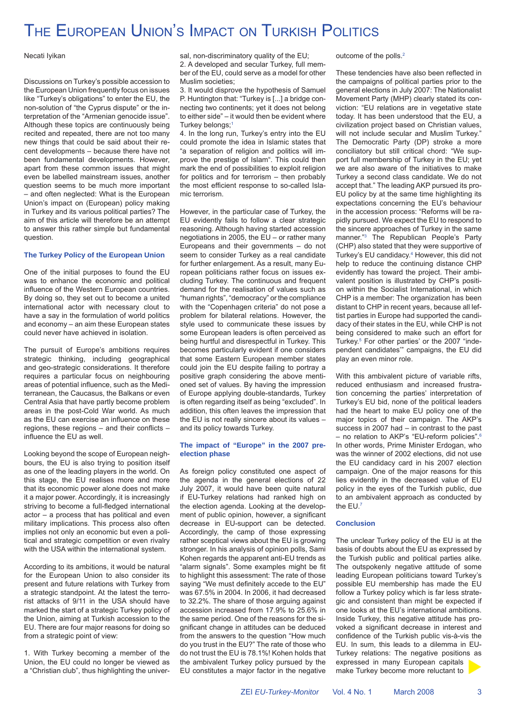## THE EUROPEAN UNION'S IMPACT ON TURKISH POLITICS

Necati Iyikan

Discussions on Turkey's possible accession to the European Union frequently focus on issues like "Turkey's obligations" to enter the EU, the non-solution of "the Cyprus dispute" or the interpretation of the "Armenian genocide issue". Although these topics are continuously being recited and repeated, there are not too many new things that could be said about their recent developments – because there have not been fundamental developments. However, apart from these common issues that might even be labelled mainstream issues, another question seems to be much more important – and often neglected: What is the European Union's impact on (European) policy making in Turkey and its various political parties? The aim of this article will therefore be an attempt to answer this rather simple but fundamental question.

### **The Turkey Policy of the European Union**

One of the initial purposes to found the EU was to enhance the economic and political influence of the Western European countries. By doing so, they set out to become a united international actor with necessary clout to have a say in the formulation of world politics and economy – an aim these European states could never have achieved in isolation.

The pursuit of Europe's ambitions requires strategic thinking, including geographical and geo-strategic considerations. It therefore requires a particular focus on neighbouring areas of potential influence, such as the Mediterranean, the Caucasus, the Balkans or even Central Asia that have partly become problem areas in the post-Cold War world. As much as the EU can exercise an influence on these regions, these regions  $-$  and their conflicts  $$ influence the EU as well.

Looking beyond the scope of European neighbours, the EU is also trying to position itself as one of the leading players in the world. On this stage, the EU realises more and more that its economic power alone does not make it a major power. Accordingly, it is increasingly striving to become a full-fledged international actor – a process that has political and even military implications. This process also often implies not only an economic but even a political and strategic competition or even rivalry with the USA within the international system.

According to its ambitions, it would be natural for the European Union to also consider its present and future relations with Turkey from a strategic standpoint. At the latest the terrorist attacks of 9/11 in the USA should have marked the start of a strategic Turkey policy of the Union, aiming at Turkish accession to the EU. There are four major reasons for doing so from a strategic point of view:

1. With Turkey becoming a member of the Union, the EU could no longer be viewed as a "Christian club", thus highlighting the universal, non-discriminatory quality of the EU;

2. A developed and secular Turkey, full member of the EU, could serve as a model for other Muslim societies;

3. It would disprove the hypothesis of Samuel P. Huntington that: "Turkey is [...] a bridge connecting two continents; yet it does not belong to either side" – it would then be evident where Turkey belongs:<sup>1</sup>

4. In the long run, Turkey's entry into the EU could promote the idea in Islamic states that "a separation of religion and politics will improve the prestige of Islam". This could then mark the end of possibilities to exploit religion for politics and for terrorism – then probably the most efficient response to so-called Islamic terrorism.

However, in the particular case of Turkey, the EU evidently fails to follow a clear strategic reasoning. Although having started accession negotiations in 2005, the EU – or rather many Europeans and their governments – do not seem to consider Turkey as a real candidate for further enlargement. As a result, many European politicians rather focus on issues excluding Turkey. The continuous and frequent demand for the realisation of values such as "human rights", "democracy" or the compliance with the "Copenhagen criteria" do not pose a problem for bilateral relations. However, the style used to communicate these issues by some European leaders is often perceived as being hurtful and disrespectful in Turkey. This becomes particularly evident if one considers that some Eastern European member states could join the EU despite failing to portray a positive graph considering the above mentioned set of values. By having the impression of Europe applying double-standards, Turkey is often regarding itself as being "excluded". In addition, this often leaves the impression that the EU is not really sincere about its values – and its policy towards Turkey.

#### **The impact of "Europe" in the 2007 preelection phase**

As foreign policy constituted one aspect of the agenda in the general elections of 22 July 2007, it would have been quite natural if EU-Turkey relations had ranked high on the election agenda. Looking at the development of public opinion, however, a significant decrease in EU-support can be detected. Accordingly, the camp of those expressing rather sceptical views about the EU is growing stronger. In his analysis of opinion polls, Sami Kohen regards the apparent anti-EU trends as "alarm signals". Some examples might be fit to highlight this assessment: The rate of those saying "We must definitely accede to the EU" was 67.5% in 2004. In 2006, it had decreased to 32.2%. The share of those arguing against accession increased from 17.9% to 25.6% in the same period. One of the reasons for the significant change in attitudes can be deduced from the answers to the question "How much do you trust in the EU?" The rate of those who do not trust the EU is 78.1%! Kohen holds that the ambivalent Turkey policy pursued by the EU constitutes a major factor in the negative outcome of the polls.2

These tendencies have also been reflected in the campaigns of political parties prior to the general elections in July 2007: The Nationalist Movement Party (MHP) clearly stated its conviction: "EU relations are in vegetative state today. It has been understood that the EU, a civilization project based on Christian values, will not include secular and Muslim Turkey.' The Democratic Party (DP) stroke a more conciliatory but still critical chord: "We support full membership of Turkey in the EU; yet we are also aware of the initiatives to make Turkey a second class candidate. We do not accept that." The leading AKP pursued its pro-EU policy by at the same time highlighting its expectations concerning the EU's behaviour in the accession process: "Reforms will be rapidly pursued. We expect the EU to respond to the sincere approaches of Turkey in the same manner."3 The Republican People's Party (CHP) also stated that they were supportive of Turkey's EU candidacy.4 However, this did not help to reduce the continuing distance CHP evidently has toward the project. Their ambivalent position is illustrated by CHP's position within the Socialist International, in which CHP is a member: The organization has been distant to CHP in recent years, because all leftist parties in Europe had supported the candidacy of their states in the EU, while CHP is not being considered to make such an effort for Turkey.5 For other parties' or the 2007 "independent candidates'" campaigns, the EU did play an even minor role.

With this ambivalent picture of variable rifts, reduced enthusiasm and increased frustration concerning the parties' interpretation of Turkey's EU bid, none of the political leaders had the heart to make EU policy one of the major topics of their campaign. The AKP's success in 2007 had – in contrast to the past – no relation to AKP's "EU-reform policies".6 In other words, Prime Minister Erdogan, who was the winner of 2002 elections, did not use the EU candidacy card in his 2007 election campaign. One of the major reasons for this lies evidently in the decreased value of EU policy in the eyes of the Turkish public, due to an ambivalent approach as conducted by the EU.7

#### **Conclusion**

The unclear Turkey policy of the EU is at the basis of doubts about the EU as expressed by the Turkish public and political parties alike. The outspokenly negative attitude of some leading European politicians toward Turkey's possible EU membership has made the EU follow a Turkey policy which is far less strategic and consistent than might be expected if one looks at the EU's international ambitions. Inside Turkey, this negative attitude has provoked a significant decrease in interest and confidence of the Turkish public vis-à-vis the EU. In sum, this leads to a dilemma in EU-Turkey relations: The negative positions as expressed in many European capitals make Turkey become more reluctant to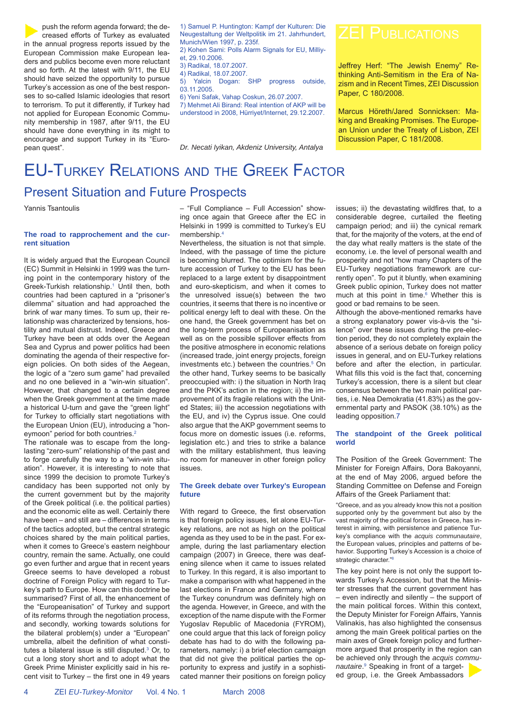push the reform agenda forward; the decreased efforts of Turkey as evaluated in the annual progress reports issued by the European Commission make European leaders and publics become even more reluctant and so forth. At the latest with 9/11, the EU should have seized the opportunity to pursue Turkey's accession as one of the best responses to so-called Islamic ideologies that resort to terrorism. To put it differently, if Turkey had not applied for European Economic Community membership in 1987, after 9/11, the EU should have done everything in its might to encourage and support Turkey in its "European quest".

1) Samuel P. Huntington: Kampf der Kulturen: Die Neugestaltung der Weltpolitik im 21. Jahrhundert, Munich/Wien 1997, p. 235f. 2) Kohen Sami: Polls Alarm Signals for EU, Milliyet, 29.10.2006. 3) Radikal, 18.07.2007. 4) Radikal, 18.07.2007. 5) Yalcin Dogan: SHP progress outside, 03.11.2005. 6) Yeni Safak, Vahap Coskun, 26.07.2007. 7) Mehmet Ali Birand: Real intention of AKP will be understood in 2008, Hürriyet/Internet, 29.12.2007.

*Dr. Necati Iyikan, Akdeniz University, Antalya*

Jeffrey Herf: "The Jewish Enemy" Rethinking Anti-Semitism in the Era of Nazism and in Recent Times, ZEI Discussion Paper, C 180/2008.

Marcus Höreth/Jared Sonnicksen: Making and Breaking Promises. The European Union under the Treaty of Lisbon, ZEI Discussion Paper, C 181/2008.

## EU-TURKEY RELATIONS AND THE GREEK FACTOR Present Situation and Future Prospects

Yannis Tsantoulis

#### **The road to rapprochement and the current situation**

It is widely argued that the European Council (EC) Summit in Helsinki in 1999 was the turning point in the contemporary history of the Greek-Turkish relationship.<sup>1</sup> Until then, both countries had been captured in a "prisoner's dilemma" situation and had approached the brink of war many times. To sum up, their relationship was characterized by tensions, hostility and mutual distrust. Indeed, Greece and Turkey have been at odds over the Aegean Sea and Cyprus and power politics had been dominating the agenda of their respective foreign policies. On both sides of the Aegean, the logic of a "zero sum game" had prevailed and no one believed in a "win-win situation". However, that changed to a certain degree when the Greek government at the time made a historical U-turn and gave the "green light" for Turkey to officially start negotiations with the European Union (EU), introducing a "honeymoon" period for both countries.<sup>2</sup>

The rationale was to escape from the longlasting "zero-sum" relationship of the past and to forge carefully the way to a "win-win situation". However, it is interesting to note that since 1999 the decision to promote Turkey's candidacy has been supported not only by the current government but by the majority of the Greek political (i.e. the political parties) and the economic elite as well. Certainly there have been – and still are – differences in terms of the tactics adopted, but the central strategic choices shared by the main political parties, when it comes to Greece's eastern neighbour country, remain the same. Actually, one could go even further and argue that in recent years Greece seems to have developed a robust doctrine of Foreign Policy with regard to Turkey's path to Europe. How can this doctrine be summarised? First of all, the enhancement of the "Europeanisation" of Turkey and support of its reforms through the negotiation process, and secondly, working towards solutions for the bilateral problem(s) under a "European" umbrella, albeit the definition of what constitutes a bilateral issue is still disputed. $3$  Or, to cut a long story short and to adopt what the Greek Prime Minister explicitly said in his recent visit to Turkey  $-$  the first one in 49 years

– "Full Compliance – Full Accession" showing once again that Greece after the EC in Helsinki in 1999 is committed to Turkey's EU membership.<sup>4</sup>

Nevertheless, the situation is not that simple. Indeed, with the passage of time the picture is becoming blurred. The optimism for the future accession of Turkey to the EU has been replaced to a large extent by disappointment and euro-skepticism, and when it comes to the unresolved issue(s) between the two countries, it seems that there is no incentive or political energy left to deal with these. On the one hand, the Greek government has bet on the long-term process of Europeanisation as well as on the possible spillover effects from the positive atmosphere in economic relations (increased trade, joint energy projects, foreign investments etc.) between the countries.<sup>5</sup> On the other hand, Turkey seems to be basically preoccupied with: i) the situation in North Iraq and the PKK's action in the region; ii) the improvement of its fragile relations with the United States; iii) the accession negotiations with the EU, and iv) the Cyprus issue. One could also argue that the AKP government seems to focus more on domestic issues (i.e. reforms, legislation etc.) and tries to strike a balance with the military establishment, thus leaving no room for maneuver in other foreign policy issues.

#### **The Greek debate over Turkey's European future**

With regard to Greece, the first observation is that foreign policy issues, let alone EU-Turkey relations, are not as high on the political agenda as they used to be in the past. For example, during the last parliamentary election campaign (2007) in Greece, there was deafening silence when it came to issues related to Turkey. In this regard, it is also important to make a comparison with what happened in the last elections in France and Germany, where the Turkey conundrum was definitely high on the agenda. However, in Greece, and with the exception of the name dispute with the Former Yugoslav Republic of Macedonia (FYROM), one could argue that this lack of foreign policy debate has had to do with the following parameters, namely: i) a brief election campaign that did not give the political parties the opportunity to express and justify in a sophisticated manner their positions on foreign policy issues; ii) the devastating wildfires that, to a considerable degree, curtailed the fleeting campaign period; and iii) the cynical remark that, for the majority of the voters, at the end of the day what really matters is the state of the economy, i.e. the level of personal wealth and prosperity and not "how many Chapters of the EU-Turkey negotiations framework are currently open". To put it bluntly, when examining Greek public opinion, Turkey does not matter much at this point in time. $6$  Whether this is good or bad remains to be seen.

Although the above-mentioned remarks have a strong explanatory power vis-à-vis the "silence" over these issues during the pre-election period, they do not completely explain the absence of a serious debate on foreign policy issues in general, and on EU-Turkey relations before and after the election, in particular. What fills this void is the fact that, concerning Turkey's accession, there is a silent but clear consensus between the two main political parties, i.e. Nea Demokratia (41.83%) as the governmental party and PASOK (38.10%) as the leading opposition.7

#### **The standpoint of the Greek political world**

The Position of the Greek Government: The Minister for Foreign Affairs, Dora Bakoyanni, at the end of May 2006, argued before the Standing Committee on Defense and Foreign Affairs of the Greek Parliament that:

"Greece, and as you already know this not a position supported only by the government but also by the vast majority of the political forces in Greece, has interest in aiming, with persistence and patience Turkey's compliance with the *acquis communautaire*, the European values, principles and patterns of behavior. Supporting Turkey's Accession is a choice of strategic character."<sup>8</sup>

The key point here is not only the support towards Turkey's Accession, but that the Minister stresses that the current government has – even indirectly and silently – the support of the main political forces. Within this context, the Deputy Minister for Foreign Affairs, Yannis Valinakis, has also highlighted the consensus among the main Greek political parties on the main axes of Greek foreign policy and furthermore argued that prosperity in the region can be achieved only through the *acquis communautaire*. 9 Speaking in front of a target-

ed group, i.e. the Greek Ambassadors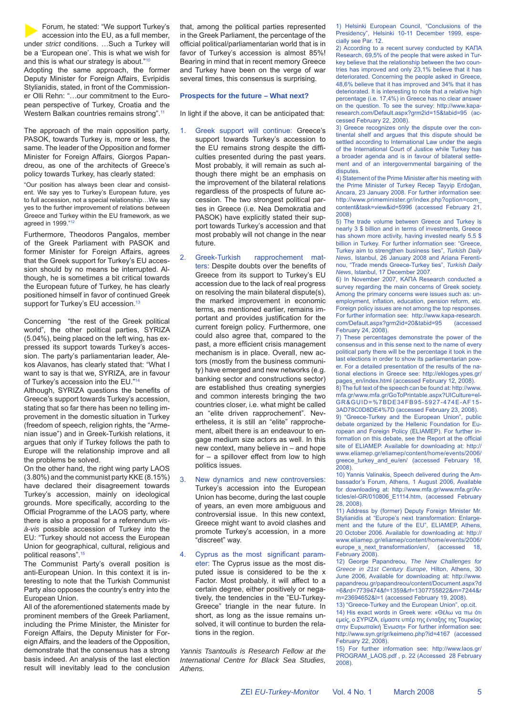

The approach of the main opposition party, PASOK, towards Turkey is, more or less, the same. The leader of the Opposition and former Minister for Foreign Affairs, Giorgos Papandreou, as one of the architects of Greece's policy towards Turkey, has clearly stated:

"Our position has always been clear and consistent. We say yes to Turkey's European future, yes to full accession, not a special relationship…We say yes to the further improvement of relations between Greece and Turkey within the EU framework, as we agreed in 1999."12

Furthermore, Theodoros Pangalos, member of the Greek Parliament with PASOK and former Minister for Foreign Affairs, agrees that the Greek support for Turkey's EU accession should by no means be interrupted. Although, he is sometimes a bit critical towards the European future of Turkey, he has clearly positioned himself in favor of continued Greek support for Turkey's EU accession.<sup>13</sup>

Concerning "the rest of the Greek political world", the other political parties, SYRIZA (5.04%), being placed on the left wing, has expressed its support towards Turkey's accession. The party's parliamentarian leader, Alekos Alavanos, has clearly stated that: "What I want to say is that we, SYRIZA, are in favour of Turkey's accession into the EU."14

Although, SYRIZA questions the benefits of Greece's support towards Turkey's accession, stating that so far there has been no telling improvement in the domestic situation in Turkey (freedom of speech, religion rights, the "Armenian issue") and in Greek-Turkish relations, it argues that only if Turkey follows the path to Europe will the relationship improve and all the problems be solved.

On the other hand, the right wing party LAOS (3.80%) and the communist party KKE (8.15%) have declared their disagreement towards Turkey's accession, mainly on ideological grounds. More specifically, according to the Official Programme of the LAOS party, where there is also a proposal for a referendum *visà-vis* possible accession of Turkey into the EU: "Turkey should not access the European Union for geographical, cultural, religious and political reasons".<sup>15</sup>

The Communist Party's overall position is anti-European Union. In this context it is interesting to note that the Turkish Communist Party also opposes the country's entry into the European Union.

All of the aforementioned statements made by prominent members of the Greek Parliament, including the Prime Minister, the Minister for Foreign Affairs, the Deputy Minister for Foreign Affairs, and the leaders of the Opposition, demonstrate that the consensus has a strong basis indeed. An analysis of the last election result will inevitably lead to the conclusion

that, among the political parties represented in the Greek Parliament, the percentage of the official political/parliamentarian world that is in favor of Turkey's accession is almost 85%! Bearing in mind that in recent memory Greece and Turkey have been on the verge of war several times, this consensus is surprising.

#### **Prospects for the future – What next?**

In light if the above, it can be anticipated that:

- 1. Greek support will continue: Greece's support towards Turkey's accession to the EU remains strong despite the difficulties presented during the past years. Most probably, it will remain as such although there might be an emphasis on the improvement of the bilateral relations regardless of the prospects of future accession. The two strongest political parties in Greece (i.e. Nea Demokratia and PASOK) have explicitly stated their support towards Turkey's accession and that most probably will not change in the near future.
- 2. Greek-Turkish rapprochement matters: Despite doubts over the benefits of Greece from its support to Turkey's EU accession due to the lack of real progress on resolving the main bilateral dispute(s), the marked improvement in economic terms, as mentioned earlier, remains important and provides justification for the current foreign policy. Furthermore, one could also agree that, compared to the past, a more efficient crisis management mechanism is in place. Overall, new actors (mostly from the business community) have emerged and new networks (e.g. banking sector and constructions sector) are established thus creating synergies and common interests bringing the two countries closer, i.e. what might be called an "elite driven rapprochement". Nevertheless, it is still an "elite" rapprochement, albeit there is an endeavour to engage medium size actors as well. In this new context, many believe in – and hope for – a spillover effect from low to high politics issues.
- 3. New dynamics and new controversies: Turkey's accession into the European Union has become, during the last couple of years, an even more ambiguous and controversial issue. In this new context, Greece might want to avoid clashes and promote Turkey's accession, in a more "discreet" way.
- 4. Cyprus as the most significant parameter: The Cyprus issue as the most disputed issue is considered to be the x Factor. Most probably, it will affect to a certain degree, either positively or negatively, the tendencies in the "EU-Turkey-Greece" triangle in the near future. In short, as long as the issue remains unsolved, it will continue to burden the relations in the region.

*Yannis Tsantoulis is Research Fellow at the International Centre for Black Sea Studies, Athens.*

1) Helsinki European Council, "Conclusions of the Presidency", Helsinki 10-11 December 1999, especially see Par. 12.

2) According to a recent survey conducted by ΚΑΠΑ Research, 69,5% of the people that were asked in Turkey believe that the relationship between the two countries has improved and only 23,1% believe that it has deteriorated. Concerning the people asked in Greece, 48,6% believe that it has improved and 34% that it has deteriorated. It is interesting to note that a relative high percentage (i.e. 17,4%) in Greece has no clear answer on the question. To see the survey: http://www.kaparesearch.com/Default.aspx?grm2id=15&tabid=95 (accessed February 22, 2008).

3) Greece recognizes only the dispute over the continental shelf and argues that this dispute should be settled according to International Law under the aegis of the International Court of Justice while Turkey has a broader agenda and is in favour of bilateral settlement and of an intergovernmental bargaining of the disputes.

4) Statement of the Prime Minister after his meeting with the Prime Minister of Turkey Recep Tayyip Erdoğan, Ancara, 23 January 2008. For further information see: http://www.primeminister.gr/index.php?option=com\_ content&task=view&id=5996 (accessed February 21, 2008)

5) The trade volume between Greece and Turkey is nearly 3 \$ billion and in terms of investments, Greece has shown more activity, having invested nearly 5.5 \$ billion in Turkey. For further information see: "Greece, Turkey aim to strengthen business ties", *Turkish Daily News*, Istanbul, 26 January 2008 and Ariana Ferentinou, "Trade mends Greece-Turkey ties", *Turkish Daily News*, Istanbul, 17 December 2007.

6) In November 2007, KΑΠΑ Research conducted a survey regarding the main concerns of Greek society. Among the primary concerns were issues such as: unemployment, inflation, education, pension reform, etc. Foreign policy issues are not among the top responses. For further information see: http://www.kapa-research. com/Default.aspx?grm2id=20&tabid=95 (accessed February 24, 2008).

7) These percentages demonstrate the power of the consensus and in this sense next to the name of every political party there will be the percentage it took in the last elections in order to show its parliamentarian power. For a detailed presentation of the results of the national elections in Greece see: http://ekloges.ypes.gr/ pages\_en/index.html (accessed February 12, 2008).

8) The full text of the speech can be found at: http://www. mfa.gr/www.mfa.gr/GoToPrintable.aspx?UICulture=el-GR&GUID=%7BDE34FB95-5927-474E-AF15- 3AD78C0D8DE4%7D (accessed February 23, 2008).

9) "Greece-Turkey and the European Union", public debate organized by the Hellenic Foundation for European and Foreign Policy (ELIAMEP). For further information on this debate, see the Report at the official site of ELIAMEP. Available for downloading at: http:// www.eliamep.gr/eliamep/content/home/events/2006/ greece\_turkey\_and\_eu/en/ (accessed February 18, 2008).

10) Yannis Valinakis, Speech delivered during the Ambassador's Forum, Athens, 1 August 2006, Available for downloading at: http://www.mfa.gr/www.mfa.gr/Articles/el-GR/010806\_E1114.htm, (accessed February 28, 2008).

11) Address by (former) Deputy Foreign Minister Mr. Stylianidis at "Europe's next transformation: Enlargement and the future of the EU", ELIAMEP, Athens, 20 October 2006. Available for downloading at: http:// www.eliamep.gr/eliamep/content/home/events/2006/ europe\_s\_next\_transformation/en/, (accessed 18, February 2008).

12) George Papandreou, *The New Challenges for Greece in 21st Century Europe*, Hilton, Athens, 30 June 2006, Available for downloading at: http://www. papandreou.gr/papandreou/content/Document.aspx?d =6&rd=7739474&f=1359&rf=1307755822&m=7244&r m=23694652&l=1 (accessed February 19, 2008).

13) "Greece-Turkey and the European Union", op.cit.

14) His exact words in Greek were: «Θέλω να πω ότι εμείς, ο ΣΥΡΙΖΑ, είμαστε υπέρ της ένταξης της Τουρκίας στην Ευρωπαϊκή Ένωση» For further information see: http://www.syn.gr/gr/keimeno.php?id=4167 (accessed February 22, 2008).

15) For further information see: http://www.laos.gr/ PROGRAM\_LAOS.pdf , p. 22 (Accessed 28 February 2008).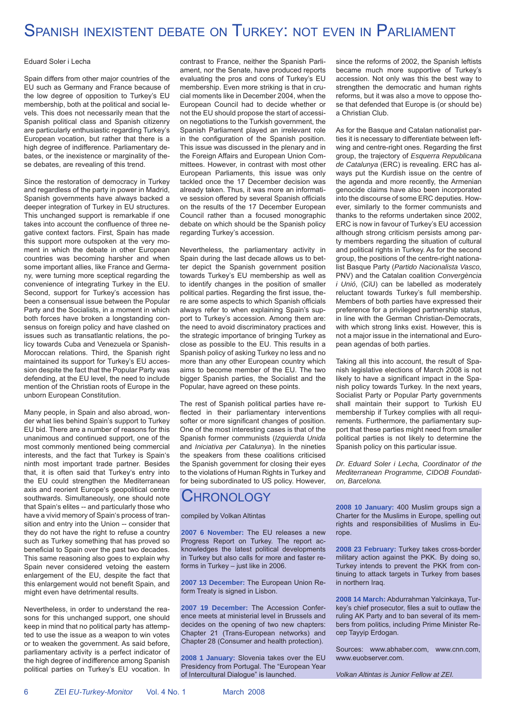## SPANISH INEXISTENT DEBATE ON TURKEY: NOT EVEN IN PARLIAMENT

#### Eduard Soler i Lecha

Spain differs from other major countries of the EU such as Germany and France because of the low degree of opposition to Turkey's EU membership, both at the political and social levels. This does not necessarily mean that the Spanish political class and Spanish citizenry are particularly enthusiastic regarding Turkey's European vocation, but rather that there is a high degree of indifference. Parliamentary debates, or the inexistence or marginality of these debates, are revealing of this trend.

Since the restoration of democracy in Turkey and regardless of the party in power in Madrid, Spanish governments have always backed a deeper integration of Turkey in EU structures. This unchanged support is remarkable if one takes into account the confluence of three negative context factors. First, Spain has made this support more outspoken at the very moment in which the debate in other European countries was becoming harsher and when some important allies, like France and Germany, were turning more sceptical regarding the convenience of integrating Turkey in the EU. Second, support for Turkey's accession has been a consensual issue between the Popular Party and the Socialists, in a moment in which both forces have broken a longstanding consensus on foreign policy and have clashed on issues such as transatlantic relations, the policy towards Cuba and Venezuela or Spanish-Moroccan relations. Third, the Spanish right maintained its support for Turkey's EU accession despite the fact that the Popular Party was defending, at the EU level, the need to include mention of the Christian roots of Europe in the unborn European Constitution.

Many people, in Spain and also abroad, wonder what lies behind Spain's support to Turkey EU bid. There are a number of reasons for this unanimous and continued support, one of the most commonly mentioned being commercial interests, and the fact that Turkey is Spain's ninth most important trade partner. Besides that, it is often said that Turkey's entry into the EU could strengthen the Mediterranean axis and reorient Europe's geopolitical centre southwards. Simultaneously, one should note that Spain's elites -- and particularly those who have a vivid memory of Spain's process of transition and entry into the Union -- consider that they do not have the right to refuse a country such as Turkey something that has proved so beneficial to Spain over the past two decades. This same reasoning also goes to explain why Spain never considered vetoing the eastern enlargement of the EU, despite the fact that this enlargement would not benefit Spain, and might even have detrimental results.

Nevertheless, in order to understand the reasons for this unchanged support, one should keep in mind that no political party has attempted to use the issue as a weapon to win votes or to weaken the government. As said before, parliamentary activity is a perfect indicator of the high degree of indifference among Spanish political parties on Turkey's EU vocation. In contrast to France, neither the Spanish Parliament, nor the Senate, have produced reports evaluating the pros and cons of Turkey's EU membership. Even more striking is that in crucial moments like in December 2004, when the European Council had to decide whether or not the EU should propose the start of accession negotiations to the Turkish government, the Spanish Parliament played an irrelevant role in the configuration of the Spanish position. This issue was discussed in the plenary and in the Foreign Affairs and European Union Committees. However, in contrast with most other European Parliaments, this issue was only tackled once the 17 December decision was already taken. Thus, it was more an informative session offered by several Spanish officials on the results of the 17 December European Council rather than a focused monographic debate on which should be the Spanish policy regarding Turkey's accession.

Nevertheless, the parliamentary activity in Spain during the last decade allows us to better depict the Spanish government position towards Turkey's EU membership as well as to identify changes in the position of smaller political parties. Regarding the first issue, there are some aspects to which Spanish officials always refer to when explaining Spain's support to Turkey's accession. Among them are: the need to avoid discriminatory practices and the strategic importance of bringing Turkey as close as possible to the EU. This results in a Spanish policy of asking Turkey no less and no more than any other European country which aims to become member of the EU. The two bigger Spanish parties, the Socialist and the Popular, have agreed on these points.

The rest of Spanish political parties have reflected in their parliamentary interventions softer or more significant changes of position. One of the most interesting cases is that of the Spanish former communists (*Izquierda Unida*  and *Iniciativa per Catalunya*). In the nineties the speakers from these coalitions criticised the Spanish government for closing their eyes to the violations of Human Rights in Turkey and for being subordinated to US policy. However,

## **CHRONOLOGY**

compiled by Volkan Altintas

**2007 6 November:** The EU releases a new Progress Report on Turkey. The report acknowledges the latest political developments in Turkey but also calls for more and faster reforms in Turkey – just like in 2006.

**2007 13 December:** The European Union Reform Treaty is signed in Lisbon.

**2007 19 December:** The Accession Conference meets at ministerial level in Brussels and decides on the opening of two new chapters: Chapter 21 (Trans-European networks) and Chapter 28 (Consumer and health protection).

**2008 1 January:** Slovenia takes over the EU Presidency from Portugal. The "European Year of Intercultural Dialogue" is launched.

since the reforms of 2002, the Spanish leftists became much more supportive of Turkey's accession. Not only was this the best way to strengthen the democratic and human rights reforms, but it was also a move to oppose those that defended that Europe is (or should be) a Christian Club.

As for the Basque and Catalan nationalist parties it is necessary to differentiate between leftwing and centre-right ones. Regarding the first group, the trajectory of *Esquerra Republicana de Catalunya* (ERC) is revealing. ERC has always put the Kurdish issue on the centre of the agenda and more recently, the Armenian genocide claims have also been incorporated into the discourse of some ERC deputies. However, similarly to the former communists and thanks to the reforms undertaken since 2002, ERC is now in favour of Turkey's EU accession although strong criticism persists among party members regarding the situation of cultural and political rights in Turkey. As for the second group, the positions of the centre-right nationalist Basque Party (*Partido Nacionalista Vasco,*  PNV) and the Catalan coalition *Convergència i Unió*, (CiU) can be labelled as moderately reluctant towards Turkey's full membership. Members of both parties have expressed their preference for a privileged partnership status, in line with the German Christian-Democrats, with which strong links exist. However, this is not a major issue in the international and European agendas of both parties.

Taking all this into account, the result of Spanish legislative elections of March 2008 is not likely to have a significant impact in the Spanish policy towards Turkey. In the next years, Socialist Party or Popular Party governments shall maintain their support to Turkish EU membership if Turkey complies with all requirements. Furthermore, the parliamentary support that these parties might need from smaller political parties is not likely to determine the Spanish policy on this particular issue.

*Dr. Eduard Soler i Lecha, Coordinator of the Mediterranean Programme, CIDOB Foundation, Barcelona.*

**2008 10 January:** 400 Muslim groups sign a Charter for the Muslims in Europe, spelling out rights and responsibilities of Muslims in Europe.

**2008 23 February:** Turkey takes cross-border military action against the PKK. By doing so, Turkey intends to prevent the PKK from continuing to attack targets in Turkey from bases in northern Iraq.

**2008 14 March:** Abdurrahman Yalcinkaya, Turkey's chief prosecutor, files a suit to outlaw the ruling AK Party and to ban several of its members from politics, including Prime Minister Recep Tayyip Erdogan.

Sources: www.abhaber.com, www.cnn.com, www.euobserver.com.

*Volkan Altintas is Junior Fellow at ZEI.*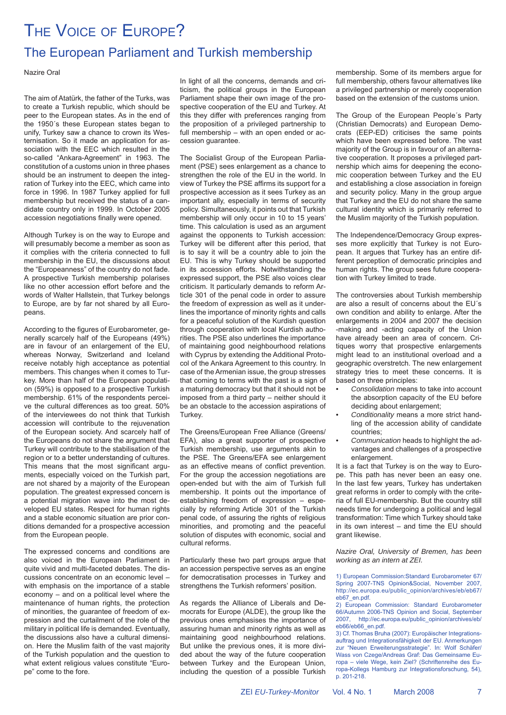## THE VOICE OF EUROPE? The European Parliament and Turkish membership

#### Nazire Oral

The aim of Atatürk, the father of the Turks, was to create a Turkish republic, which should be peer to the European states. As in the end of the 1950´s these European states began to unify, Turkey saw a chance to crown its Westernisation. So it made an application for association with the EEC which resulted in the so-called "Ankara-Agreement" in 1963. The constitution of a customs union in three phases should be an instrument to deepen the integration of Turkey into the EEC, which came into force in 1996. In 1987 Turkey applied for full membership but received the status of a candidate country only in 1999. In October 2005 accession negotiations finally were opened.

Although Turkey is on the way to Europe and will presumably become a member as soon as it complies with the criteria connected to full membership in the EU, the discussions about the "Europeanness" of the country do not fade. A prospective Turkish membership polarises like no other accession effort before and the words of Walter Hallstein, that Turkey belongs to Europe, are by far not shared by all Europeans.

According to the figures of Eurobarometer, generally scarcely half of the Europeans (49%) are in favour of an enlargement of the EU, whereas Norway, Switzerland and Iceland receive notably high acceptance as potential members. This changes when it comes to Turkey. More than half of the European population (59%) is opposed to a prospective Turkish membership. 61% of the respondents perceive the cultural differences as too great. 50% of the interviewees do not think that Turkish accession will contribute to the rejuvenation of the European society. And scarcely half of the Europeans do not share the argument that Turkey will contribute to the stabilisation of the region or to a better understanding of cultures. This means that the most significant arguments, especially voiced on the Turkish part, are not shared by a majority of the European population. The greatest expressed concern is a potential migration wave into the most developed EU states. Respect for human rights and a stable economic situation are prior conditions demanded for a prospective accession from the European people.

The expressed concerns and conditions are also voiced in the European Parliament in quite vivid and multi-faceted debates. The discussions concentrate on an economic level – with emphasis on the importance of a stable economy – and on a political level where the maintenance of human rights, the protection of minorities, the guarantee of freedom of expression and the curtailment of the role of the military in political life is demanded. Eventually, the discussions also have a cultural dimension. Here the Muslim faith of the vast majority of the Turkish population and the question to what extent religious values constitute "Europe" come to the fore.

In light of all the concerns, demands and criticism, the political groups in the European Parliament shape their own image of the prospective cooperation of the EU and Turkey. At this they differ with preferences ranging from the proposition of a privileged partnership to full membership – with an open ended or accession guarantee.

The Socialist Group of the European Parliament (PSE) sees enlargement as a chance to strengthen the role of the EU in the world. In view of Turkey the PSE affirms its support for a prospective accession as it sees Turkey as an important ally, especially in terms of security policy. Simultaneously, it points out that Turkish membership will only occur in 10 to 15 years' time. This calculation is used as an argument against the opponents to Turkish accession: Turkey will be different after this period, that is to say it will be a country able to join the EU. This is why Turkey should be supported in its accession efforts. Notwithstanding the expressed support, the PSE also voices clear criticism. It particularly demands to reform Article 301 of the penal code in order to assure the freedom of expression as well as it underlines the importance of minority rights and calls for a peaceful solution of the Kurdish question through cooperation with local Kurdish authorities. The PSE also underlines the importance of maintaining good neighbourhood relations with Cyprus by extending the Additional Protocol of the Ankara Agreement to this country. In case of the Armenian issue, the group stresses that coming to terms with the past is a sign of a maturing democracy but that it should not be imposed from a third party – neither should it be an obstacle to the accession aspirations of Turkey.

The Greens/European Free Alliance (Greens/ EFA), also a great supporter of prospective Turkish membership, use arguments akin to the PSE. The Greens/EFA see enlargement as an effective means of conflict prevention. For the group the accession negotiations are open-ended but with the aim of Turkish full membership. It points out the importance of establishing freedom of expression – especially by reforming Article 301 of the Turkish penal code, of assuring the rights of religious minorities, and promoting and the peaceful solution of disputes with economic, social and cultural reforms.

Particularly these two part groups argue that an accession perspective serves as an engine for democratisation processes in Turkey and strengthens the Turkish reformers' position.

As regards the Alliance of Liberals and Democrats for Europe (ALDE), the group like the previous ones emphasises the importance of assuring human and minority rights as well as maintaining good neighbourhood relations. But unlike the previous ones, it is more divided about the way of the future cooperation between Turkey and the European Union, including the question of a possible Turkish

membership. Some of its members argue for full membership, others favour alternatives like a privileged partnership or merely cooperation based on the extension of the customs union.

The Group of the European People´s Party (Christian Democrats) and European Democrats (EEP-ED) criticises the same points which have been expressed before. The vast majority of the Group is in favour of an alternative cooperation. It proposes a privileged partnership which aims for deepening the economic cooperation between Turkey and the EU and establishing a close association in foreign and security policy. Many in the group argue that Turkey and the EU do not share the same cultural identity which is primarily referred to the Muslim majority of the Turkish population.

The Independence/Democracy Group expresses more explicitly that Turkey is not European. It argues that Turkey has an entire different perception of democratic principles and human rights. The group sees future cooperation with Turkey limited to trade.

The controversies about Turkish membership are also a result of concerns about the EU´s own condition and ability to enlarge. After the enlargements in 2004 and 2007 the decision -making and -acting capacity of the Union have already been an area of concern. Critiques worry that prospective enlargements might lead to an institutional overload and a geographic overstretch. The new enlargement strategy tries to meet these concerns. It is based on three principles:

- *Consolidation* means to take into account the absorption capacity of the EU before deciding about enlargement;
- *Conditionality* means a more strict handling of the accession ability of candidate countries;
- *Communication* heads to highlight the advantages and challenges of a prospective enlargement.

It is a fact that Turkey is on the way to Europe. This path has never been an easy one. In the last few years, Turkey has undertaken great reforms in order to comply with the criteria of full EU-membership. But the country still needs time for undergoing a political and legal transformation: Time which Turkey should take in its own interest – and time the EU should grant likewise.

*Nazire Oral, University of Bremen, has been working as an intern at ZEI.*

1) European Commission:Standard Eurobarometer 67/ Spring 2007-TNS Opinion&Social, November 2007, http://ec.europa.eu/public\_opinion/archives/eb/eb67/ eb67\_en.pdf.

2) European Commission: Standard Eurobarometer 66/Autumn 2006-TNS Opinion and Social, September 2007, http://ec.europa.eu/public\_opinion/archives/eb/ eb66/eb66\_en.pdf.

3) Cf. Thomas Bruha (2007): Europäischer Integrationsauftrag und Integrationsfähigkeit der EU. Anmerkungen zur "Neuen Erweiterungsstrategie". In: Wolf Schäfer/ Wass von Czege/Andreas Graf: Das Gemeinsame Europa – viele Wege, kein Ziel? (Schriftenreihe des Europa-Kollegs Hamburg zur Integrationsforschung, 54), p. 201-218.